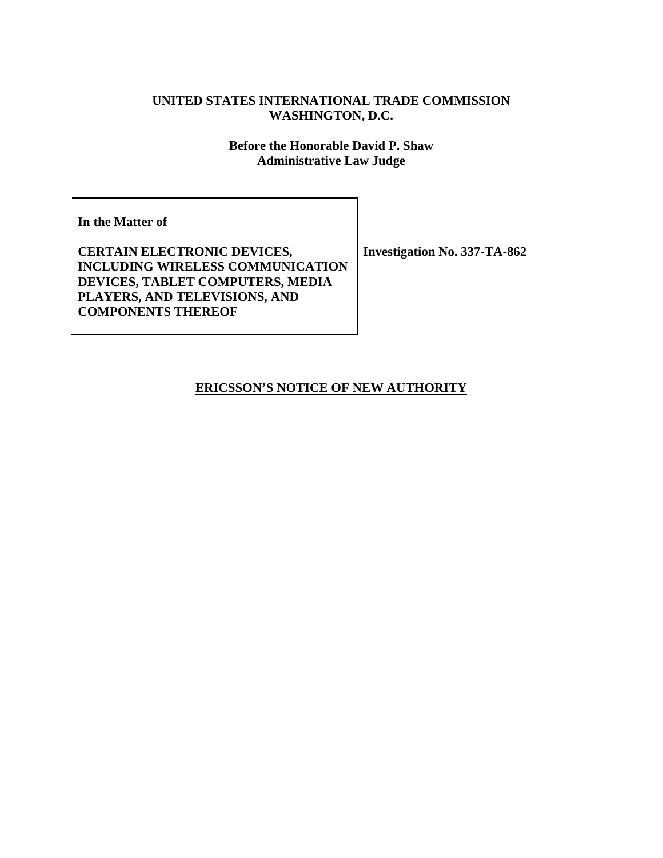### **UNITED STATES INTERNATIONAL TRADE COMMISSION WASHINGTON, D.C.**

**Before the Honorable David P. Shaw Administrative Law Judge**

**In the Matter of** 

**CERTAIN ELECTRONIC DEVICES, INCLUDING WIRELESS COMMUNICATION DEVICES, TABLET COMPUTERS, MEDIA PLAYERS, AND TELEVISIONS, AND COMPONENTS THEREOF** 

**Investigation No. 337-TA-862** 

**ERICSSON'S NOTICE OF NEW AUTHORITY**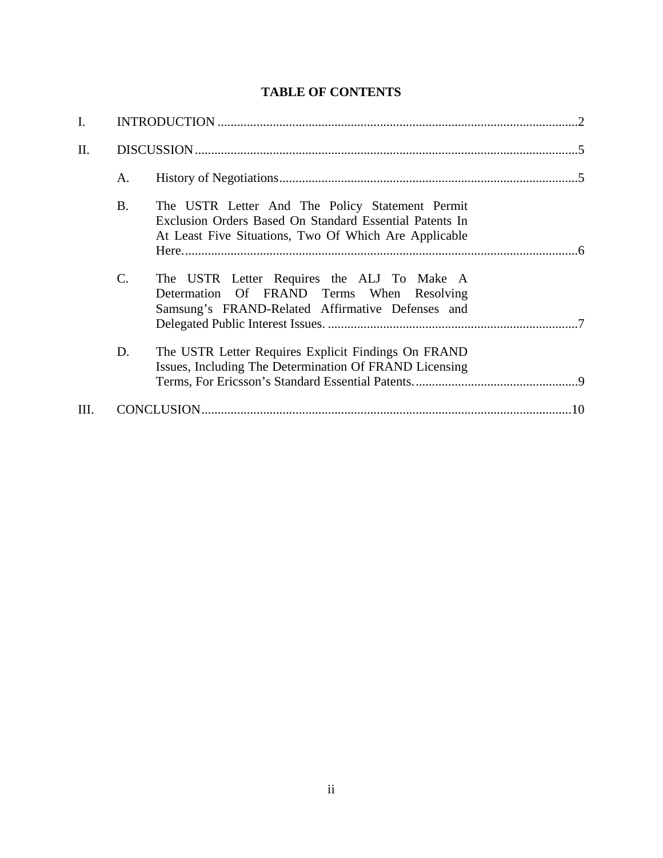# **TABLE OF CONTENTS**

| I. |           |                                                                                                                                                                     |  |
|----|-----------|---------------------------------------------------------------------------------------------------------------------------------------------------------------------|--|
| Π. |           |                                                                                                                                                                     |  |
|    | A.        |                                                                                                                                                                     |  |
|    | <b>B.</b> | The USTR Letter And The Policy Statement Permit<br>Exclusion Orders Based On Standard Essential Patents In<br>At Least Five Situations, Two Of Which Are Applicable |  |
|    | C.        | The USTR Letter Requires the ALJ To Make A<br>Determation Of FRAND Terms When Resolving<br>Samsung's FRAND-Related Affirmative Defenses and                         |  |
|    | D.        | The USTR Letter Requires Explicit Findings On FRAND<br>Issues, Including The Determination Of FRAND Licensing                                                       |  |
| Ш. |           |                                                                                                                                                                     |  |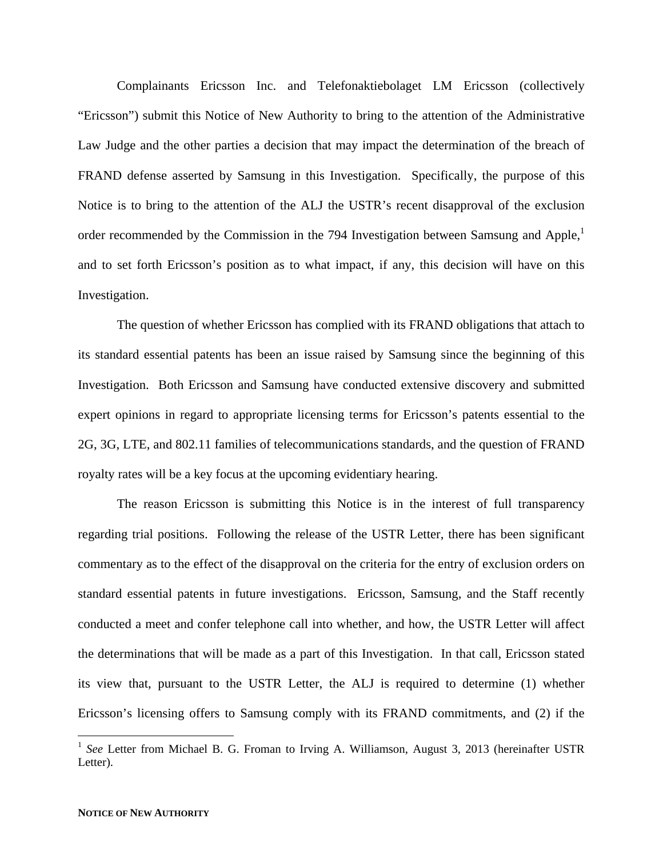Complainants Ericsson Inc. and Telefonaktiebolaget LM Ericsson (collectively "Ericsson") submit this Notice of New Authority to bring to the attention of the Administrative Law Judge and the other parties a decision that may impact the determination of the breach of FRAND defense asserted by Samsung in this Investigation. Specifically, the purpose of this Notice is to bring to the attention of the ALJ the USTR's recent disapproval of the exclusion order recommended by the Commission in the 794 Investigation between Samsung and Apple,<sup>1</sup> and to set forth Ericsson's position as to what impact, if any, this decision will have on this Investigation.

The question of whether Ericsson has complied with its FRAND obligations that attach to its standard essential patents has been an issue raised by Samsung since the beginning of this Investigation. Both Ericsson and Samsung have conducted extensive discovery and submitted expert opinions in regard to appropriate licensing terms for Ericsson's patents essential to the 2G, 3G, LTE, and 802.11 families of telecommunications standards, and the question of FRAND royalty rates will be a key focus at the upcoming evidentiary hearing.

The reason Ericsson is submitting this Notice is in the interest of full transparency regarding trial positions. Following the release of the USTR Letter, there has been significant commentary as to the effect of the disapproval on the criteria for the entry of exclusion orders on standard essential patents in future investigations. Ericsson, Samsung, and the Staff recently conducted a meet and confer telephone call into whether, and how, the USTR Letter will affect the determinations that will be made as a part of this Investigation. In that call, Ericsson stated its view that, pursuant to the USTR Letter, the ALJ is required to determine (1) whether Ericsson's licensing offers to Samsung comply with its FRAND commitments, and (2) if the

1

<sup>&</sup>lt;sup>1</sup> See Letter from Michael B. G. Froman to Irving A. Williamson, August 3, 2013 (hereinafter USTR Letter).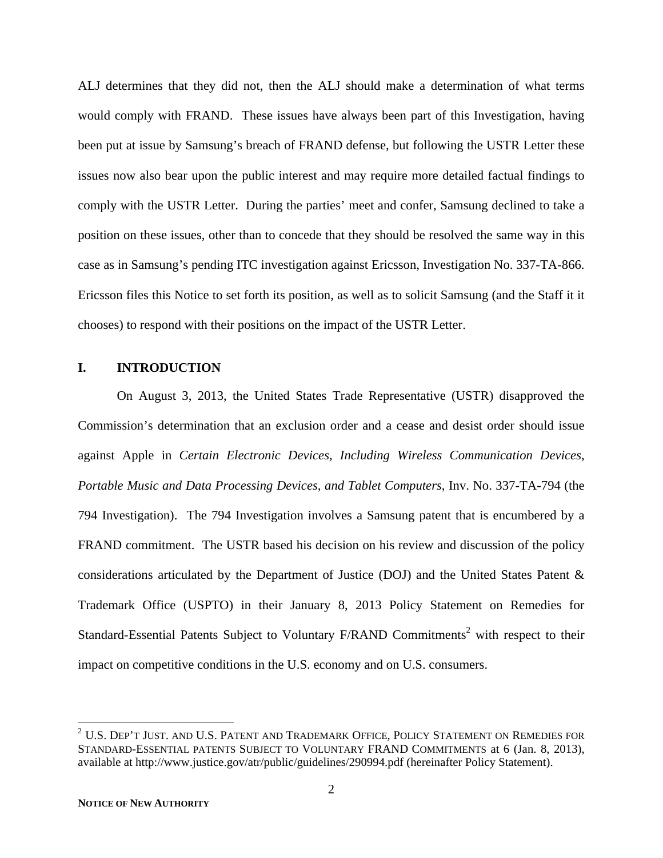ALJ determines that they did not, then the ALJ should make a determination of what terms would comply with FRAND. These issues have always been part of this Investigation, having been put at issue by Samsung's breach of FRAND defense, but following the USTR Letter these issues now also bear upon the public interest and may require more detailed factual findings to comply with the USTR Letter. During the parties' meet and confer, Samsung declined to take a position on these issues, other than to concede that they should be resolved the same way in this case as in Samsung's pending ITC investigation against Ericsson, Investigation No. 337-TA-866. Ericsson files this Notice to set forth its position, as well as to solicit Samsung (and the Staff it it chooses) to respond with their positions on the impact of the USTR Letter.

#### **I. INTRODUCTION**

On August 3, 2013, the United States Trade Representative (USTR) disapproved the Commission's determination that an exclusion order and a cease and desist order should issue against Apple in *Certain Electronic Devices, Including Wireless Communication Devices, Portable Music and Data Processing Devices, and Tablet Computers*, Inv. No. 337-TA-794 (the 794 Investigation). The 794 Investigation involves a Samsung patent that is encumbered by a FRAND commitment. The USTR based his decision on his review and discussion of the policy considerations articulated by the Department of Justice (DOJ) and the United States Patent & Trademark Office (USPTO) in their January 8, 2013 Policy Statement on Remedies for Standard-Essential Patents Subject to Voluntary F/RAND Commitments<sup>2</sup> with respect to their impact on competitive conditions in the U.S. economy and on U.S. consumers.

 $^2$  U.S. Dep't Just. and U.S. Patent and Trademark Office, Policy Statement on Remedies for STANDARD-ESSENTIAL PATENTS SUBJECT TO VOLUNTARY FRAND COMMITMENTS at 6 (Jan. 8, 2013), available at http://www.justice.gov/atr/public/guidelines/290994.pdf (hereinafter Policy Statement).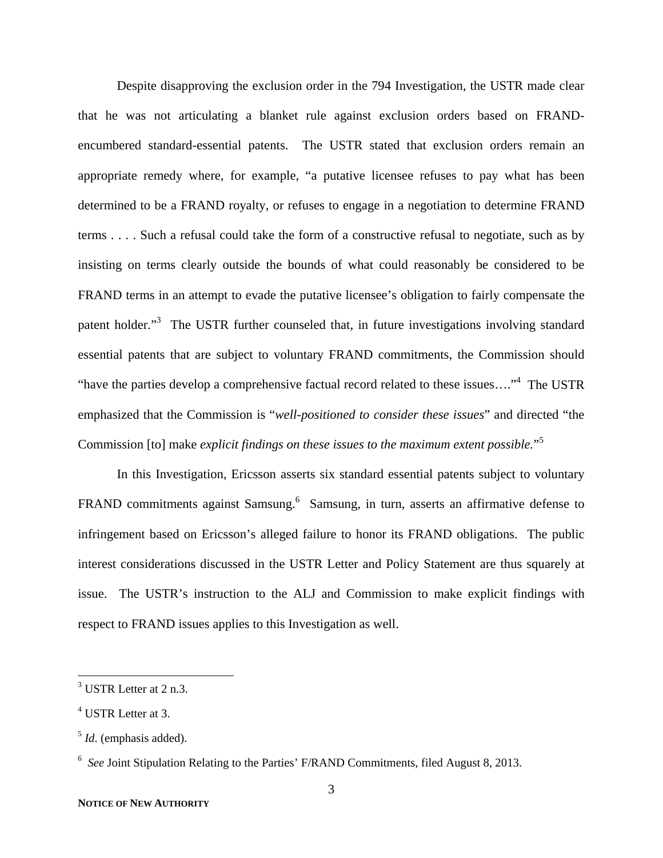Despite disapproving the exclusion order in the 794 Investigation, the USTR made clear that he was not articulating a blanket rule against exclusion orders based on FRANDencumbered standard-essential patents. The USTR stated that exclusion orders remain an appropriate remedy where, for example, "a putative licensee refuses to pay what has been determined to be a FRAND royalty, or refuses to engage in a negotiation to determine FRAND terms . . . . Such a refusal could take the form of a constructive refusal to negotiate, such as by insisting on terms clearly outside the bounds of what could reasonably be considered to be FRAND terms in an attempt to evade the putative licensee's obligation to fairly compensate the patent holder."<sup>3</sup> The USTR further counseled that, in future investigations involving standard essential patents that are subject to voluntary FRAND commitments, the Commission should "have the parties develop a comprehensive factual record related to these issues...."<sup>4</sup> The USTR emphasized that the Commission is "*well-positioned to consider these issues*" and directed "the Commission [to] make *explicit findings on these issues to the maximum extent possible.*" 5

In this Investigation, Ericsson asserts six standard essential patents subject to voluntary FRAND commitments against Samsung.<sup>6</sup> Samsung, in turn, asserts an affirmative defense to infringement based on Ericsson's alleged failure to honor its FRAND obligations. The public interest considerations discussed in the USTR Letter and Policy Statement are thus squarely at issue. The USTR's instruction to the ALJ and Commission to make explicit findings with respect to FRAND issues applies to this Investigation as well.

 $3$  USTR Letter at 2 n.3.

<sup>4</sup> USTR Letter at 3.

<sup>5</sup> *Id*. (emphasis added).

<sup>&</sup>lt;sup>6</sup> See Joint Stipulation Relating to the Parties' F/RAND Commitments, filed August 8, 2013.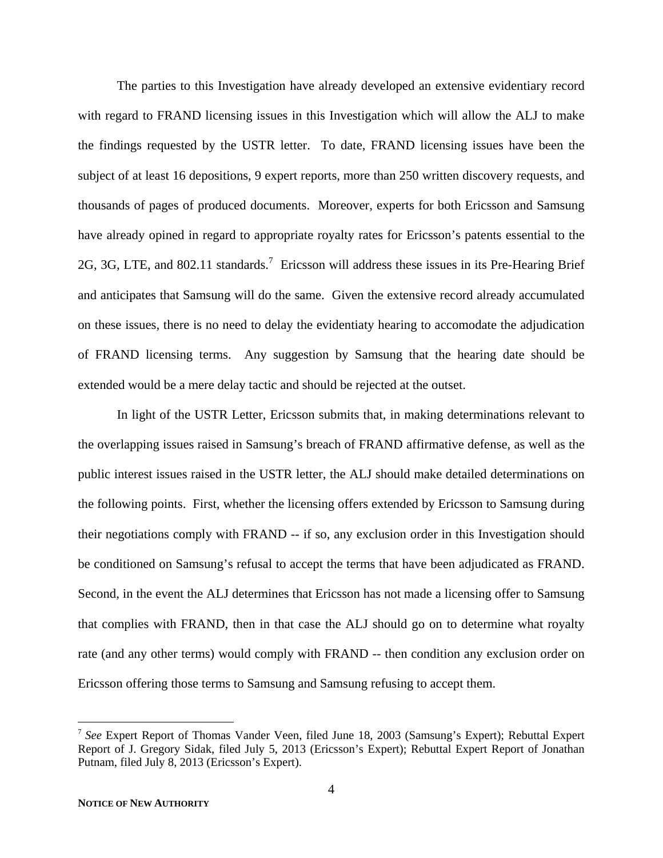The parties to this Investigation have already developed an extensive evidentiary record with regard to FRAND licensing issues in this Investigation which will allow the ALJ to make the findings requested by the USTR letter. To date, FRAND licensing issues have been the subject of at least 16 depositions, 9 expert reports, more than 250 written discovery requests, and thousands of pages of produced documents. Moreover, experts for both Ericsson and Samsung have already opined in regard to appropriate royalty rates for Ericsson's patents essential to the 2G, 3G, LTE, and 802.11 standards.<sup>7</sup> Ericsson will address these issues in its Pre-Hearing Brief and anticipates that Samsung will do the same. Given the extensive record already accumulated on these issues, there is no need to delay the evidentiaty hearing to accomodate the adjudication of FRAND licensing terms. Any suggestion by Samsung that the hearing date should be extended would be a mere delay tactic and should be rejected at the outset.

In light of the USTR Letter, Ericsson submits that, in making determinations relevant to the overlapping issues raised in Samsung's breach of FRAND affirmative defense, as well as the public interest issues raised in the USTR letter, the ALJ should make detailed determinations on the following points. First, whether the licensing offers extended by Ericsson to Samsung during their negotiations comply with FRAND -- if so, any exclusion order in this Investigation should be conditioned on Samsung's refusal to accept the terms that have been adjudicated as FRAND. Second, in the event the ALJ determines that Ericsson has not made a licensing offer to Samsung that complies with FRAND, then in that case the ALJ should go on to determine what royalty rate (and any other terms) would comply with FRAND -- then condition any exclusion order on Ericsson offering those terms to Samsung and Samsung refusing to accept them.

<sup>7</sup> *See* Expert Report of Thomas Vander Veen, filed June 18, 2003 (Samsung's Expert); Rebuttal Expert Report of J. Gregory Sidak, filed July 5, 2013 (Ericsson's Expert); Rebuttal Expert Report of Jonathan Putnam, filed July 8, 2013 (Ericsson's Expert).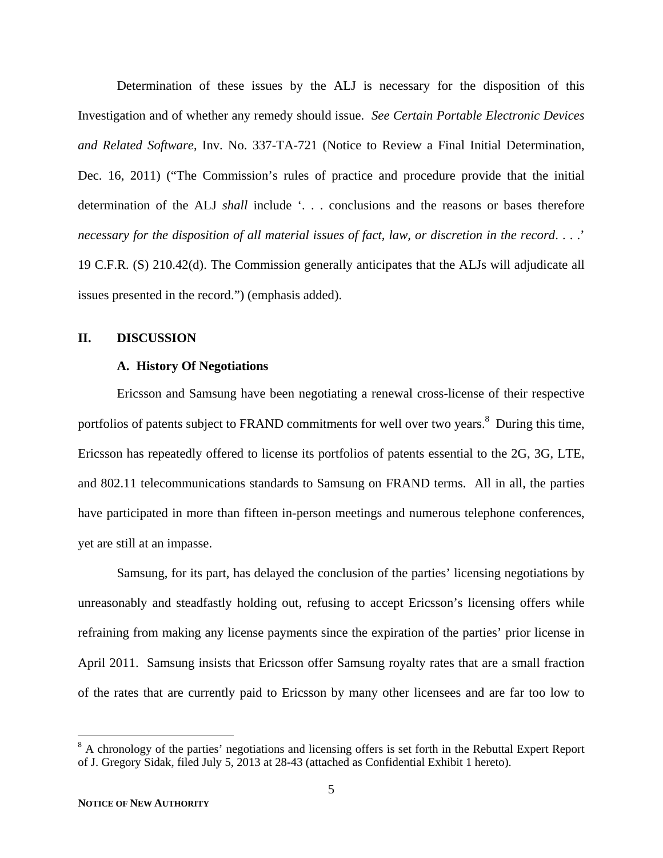Determination of these issues by the ALJ is necessary for the disposition of this Investigation and of whether any remedy should issue. *See Certain Portable Electronic Devices and Related Software*, Inv. No. 337-TA-721 (Notice to Review a Final Initial Determination, Dec. 16, 2011) ("The Commission's rules of practice and procedure provide that the initial determination of the ALJ *shall* include '. . . conclusions and the reasons or bases therefore *necessary for the disposition of all material issues of fact, law, or discretion in the record*. . . .' 19 C.F.R. (S) 210.42(d). The Commission generally anticipates that the ALJs will adjudicate all issues presented in the record.") (emphasis added).

### **II. DISCUSSION**

### **A. History Of Negotiations**

Ericsson and Samsung have been negotiating a renewal cross-license of their respective portfolios of patents subject to FRAND commitments for well over two years.<sup>8</sup> During this time, Ericsson has repeatedly offered to license its portfolios of patents essential to the 2G, 3G, LTE, and 802.11 telecommunications standards to Samsung on FRAND terms. All in all, the parties have participated in more than fifteen in-person meetings and numerous telephone conferences, yet are still at an impasse.

Samsung, for its part, has delayed the conclusion of the parties' licensing negotiations by unreasonably and steadfastly holding out, refusing to accept Ericsson's licensing offers while refraining from making any license payments since the expiration of the parties' prior license in April 2011. Samsung insists that Ericsson offer Samsung royalty rates that are a small fraction of the rates that are currently paid to Ericsson by many other licensees and are far too low to

<sup>&</sup>lt;sup>8</sup> A chronology of the parties' negotiations and licensing offers is set forth in the Rebuttal Expert Report of J. Gregory Sidak, filed July 5, 2013 at 28-43 (attached as Confidential Exhibit 1 hereto).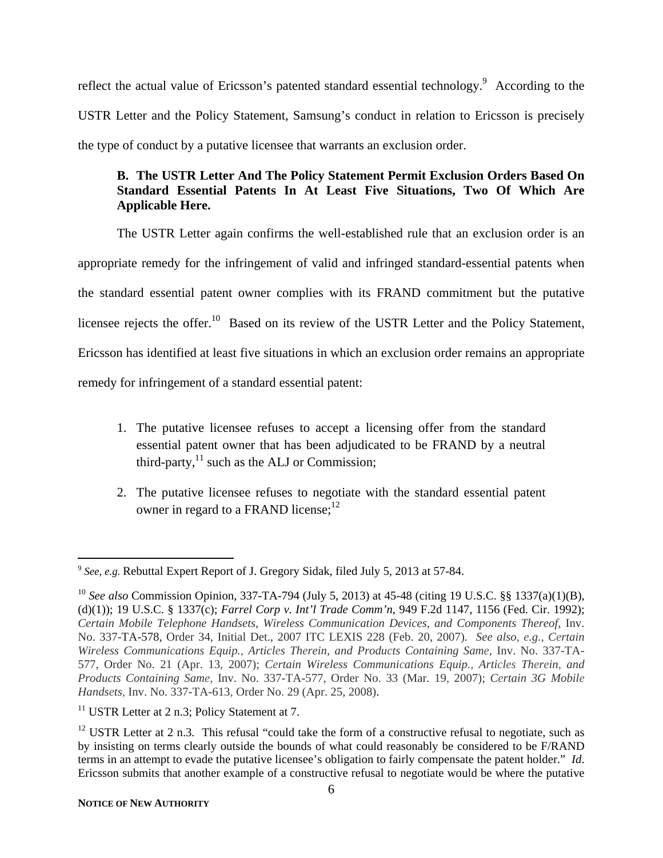reflect the actual value of Ericsson's patented standard essential technology.<sup>9</sup> According to the USTR Letter and the Policy Statement, Samsung's conduct in relation to Ericsson is precisely the type of conduct by a putative licensee that warrants an exclusion order.

# **B. The USTR Letter And The Policy Statement Permit Exclusion Orders Based On Standard Essential Patents In At Least Five Situations, Two Of Which Are Applicable Here.**

The USTR Letter again confirms the well-established rule that an exclusion order is an appropriate remedy for the infringement of valid and infringed standard-essential patents when the standard essential patent owner complies with its FRAND commitment but the putative licensee rejects the offer.<sup>10</sup> Based on its review of the USTR Letter and the Policy Statement, Ericsson has identified at least five situations in which an exclusion order remains an appropriate remedy for infringement of a standard essential patent:

- 1. The putative licensee refuses to accept a licensing offer from the standard essential patent owner that has been adjudicated to be FRAND by a neutral third-party, $^{11}$  such as the ALJ or Commission;
- 2. The putative licensee refuses to negotiate with the standard essential patent owner in regard to a FRAND license: $12$

 $\overline{a}$ <sup>9</sup> *See, e.g.* Rebuttal Expert Report of J. Gregory Sidak, filed July 5, 2013 at 57-84.

<sup>10</sup> *See also* Commission Opinion, 337-TA-794 (July 5, 2013) at 45-48 (citing 19 U.S.C. §§ 1337(a)(1)(B), (d)(1)); 19 U.S.C. § 1337(c); *Farrel Corp v. Int'l Trade Comm'n*, 949 F.2d 1147, 1156 (Fed. Cir. 1992); *Certain Mobile Telephone Handsets, Wireless Communication Devices, and Components Thereof,* Inv. No. 337-TA-578, Order 34, Initial Det., 2007 ITC LEXIS 228 (Feb. 20, 2007). *See also, e.g., Certain Wireless Communications Equip., Articles Therein, and Products Containing Same,* Inv. No. 337-TA-577, Order No. 21 (Apr. 13, 2007); *Certain Wireless Communications Equip., Articles Therein, and Products Containing Same,* Inv. No. 337-TA-577, Order No. 33 (Mar. 19, 2007); *Certain 3G Mobile Handsets,* Inv. No. 337-TA-613, Order No. 29 (Apr. 25, 2008).

 $11$  USTR Letter at 2 n.3; Policy Statement at 7.

<sup>&</sup>lt;sup>12</sup> USTR Letter at 2 n.3. This refusal "could take the form of a constructive refusal to negotiate, such as by insisting on terms clearly outside the bounds of what could reasonably be considered to be F/RAND terms in an attempt to evade the putative licensee's obligation to fairly compensate the patent holder." *Id*. Ericsson submits that another example of a constructive refusal to negotiate would be where the putative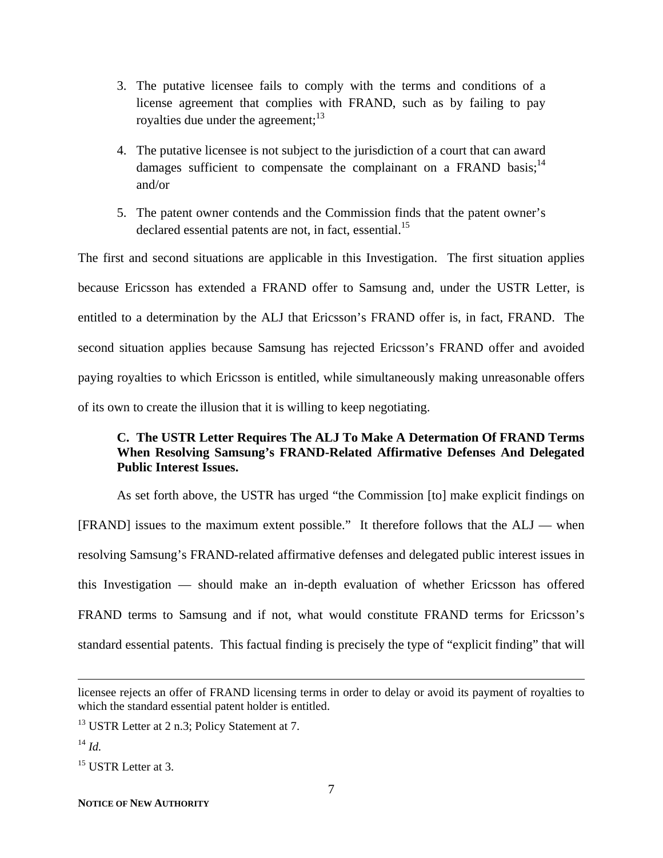- 3. The putative licensee fails to comply with the terms and conditions of a license agreement that complies with FRAND, such as by failing to pay royalties due under the agreement; $^{13}$
- 4. The putative licensee is not subject to the jurisdiction of a court that can award damages sufficient to compensate the complainant on a FRAND basis;  $14$ and/or
- 5. The patent owner contends and the Commission finds that the patent owner's declared essential patents are not, in fact, essential.<sup>15</sup>

The first and second situations are applicable in this Investigation. The first situation applies because Ericsson has extended a FRAND offer to Samsung and, under the USTR Letter, is entitled to a determination by the ALJ that Ericsson's FRAND offer is, in fact, FRAND. The second situation applies because Samsung has rejected Ericsson's FRAND offer and avoided paying royalties to which Ericsson is entitled, while simultaneously making unreasonable offers of its own to create the illusion that it is willing to keep negotiating.

### **C. The USTR Letter Requires The ALJ To Make A Determation Of FRAND Terms When Resolving Samsung's FRAND-Related Affirmative Defenses And Delegated Public Interest Issues.**

 As set forth above, the USTR has urged "the Commission [to] make explicit findings on [FRAND] issues to the maximum extent possible." It therefore follows that the ALJ — when resolving Samsung's FRAND-related affirmative defenses and delegated public interest issues in this Investigation — should make an in-depth evaluation of whether Ericsson has offered FRAND terms to Samsung and if not, what would constitute FRAND terms for Ericsson's standard essential patents. This factual finding is precisely the type of "explicit finding" that will

 $\overline{a}$ 

 $15$  USTR Letter at 3.

licensee rejects an offer of FRAND licensing terms in order to delay or avoid its payment of royalties to which the standard essential patent holder is entitled.

<sup>&</sup>lt;sup>13</sup> USTR Letter at 2 n.3; Policy Statement at 7.

<sup>14</sup> *Id.*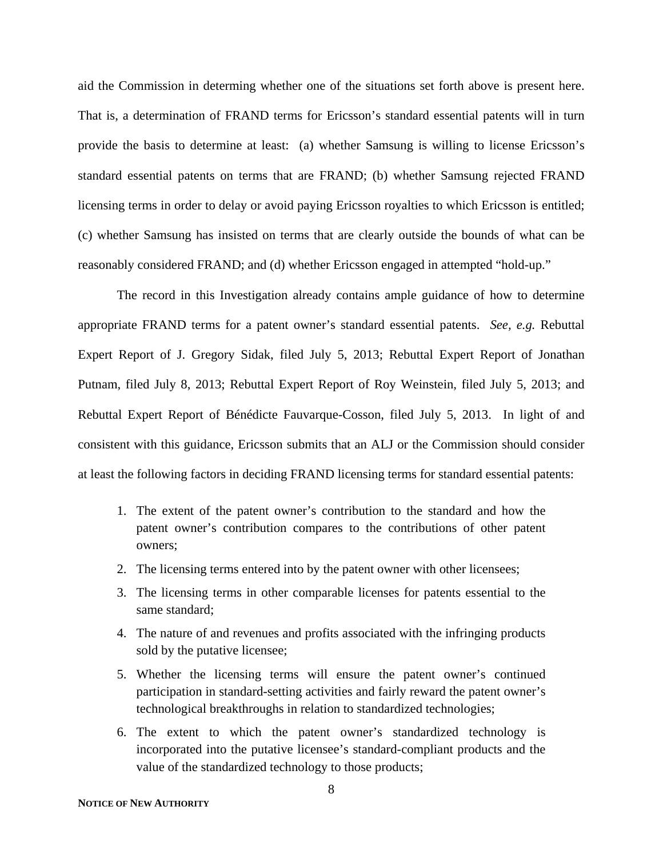aid the Commission in determing whether one of the situations set forth above is present here. That is, a determination of FRAND terms for Ericsson's standard essential patents will in turn provide the basis to determine at least: (a) whether Samsung is willing to license Ericsson's standard essential patents on terms that are FRAND; (b) whether Samsung rejected FRAND licensing terms in order to delay or avoid paying Ericsson royalties to which Ericsson is entitled; (c) whether Samsung has insisted on terms that are clearly outside the bounds of what can be reasonably considered FRAND; and (d) whether Ericsson engaged in attempted "hold-up."

 The record in this Investigation already contains ample guidance of how to determine appropriate FRAND terms for a patent owner's standard essential patents. *See, e.g.* Rebuttal Expert Report of J. Gregory Sidak, filed July 5, 2013; Rebuttal Expert Report of Jonathan Putnam, filed July 8, 2013; Rebuttal Expert Report of Roy Weinstein, filed July 5, 2013; and Rebuttal Expert Report of Bénédicte Fauvarque-Cosson, filed July 5, 2013. In light of and consistent with this guidance, Ericsson submits that an ALJ or the Commission should consider at least the following factors in deciding FRAND licensing terms for standard essential patents:

- 1. The extent of the patent owner's contribution to the standard and how the patent owner's contribution compares to the contributions of other patent owners;
- 2. The licensing terms entered into by the patent owner with other licensees;
- 3. The licensing terms in other comparable licenses for patents essential to the same standard;
- 4. The nature of and revenues and profits associated with the infringing products sold by the putative licensee;
- 5. Whether the licensing terms will ensure the patent owner's continued participation in standard-setting activities and fairly reward the patent owner's technological breakthroughs in relation to standardized technologies;
- 6. The extent to which the patent owner's standardized technology is incorporated into the putative licensee's standard-compliant products and the value of the standardized technology to those products;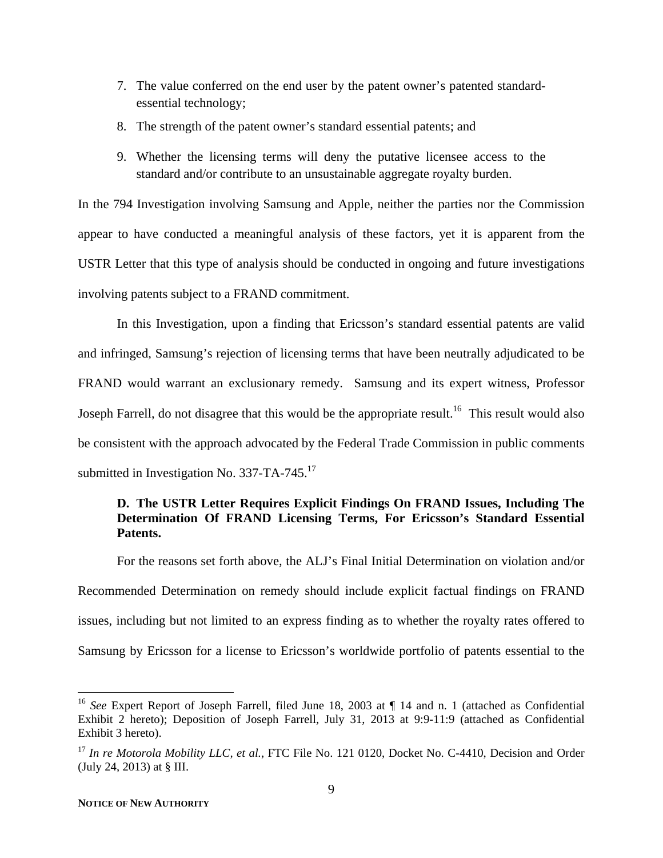- 7. The value conferred on the end user by the patent owner's patented standardessential technology;
- 8. The strength of the patent owner's standard essential patents; and
- 9. Whether the licensing terms will deny the putative licensee access to the standard and/or contribute to an unsustainable aggregate royalty burden.

In the 794 Investigation involving Samsung and Apple, neither the parties nor the Commission appear to have conducted a meaningful analysis of these factors, yet it is apparent from the USTR Letter that this type of analysis should be conducted in ongoing and future investigations involving patents subject to a FRAND commitment.

 In this Investigation, upon a finding that Ericsson's standard essential patents are valid and infringed, Samsung's rejection of licensing terms that have been neutrally adjudicated to be FRAND would warrant an exclusionary remedy. Samsung and its expert witness, Professor Joseph Farrell, do not disagree that this would be the appropriate result.<sup>16</sup> This result would also be consistent with the approach advocated by the Federal Trade Commission in public comments submitted in Investigation No. 337-TA-745.<sup>17</sup>

### **D. The USTR Letter Requires Explicit Findings On FRAND Issues, Including The Determination Of FRAND Licensing Terms, For Ericsson's Standard Essential Patents.**

For the reasons set forth above, the ALJ's Final Initial Determination on violation and/or Recommended Determination on remedy should include explicit factual findings on FRAND issues, including but not limited to an express finding as to whether the royalty rates offered to Samsung by Ericsson for a license to Ericsson's worldwide portfolio of patents essential to the

<sup>&</sup>lt;sup>16</sup> See Expert Report of Joseph Farrell, filed June 18, 2003 at ¶ 14 and n. 1 (attached as Confidential Exhibit 2 hereto); Deposition of Joseph Farrell, July 31, 2013 at 9:9-11:9 (attached as Confidential Exhibit 3 hereto).

<sup>&</sup>lt;sup>17</sup> In re Motorola Mobility LLC, et al., FTC File No. 121 0120, Docket No. C-4410, Decision and Order (July 24, 2013) at § III.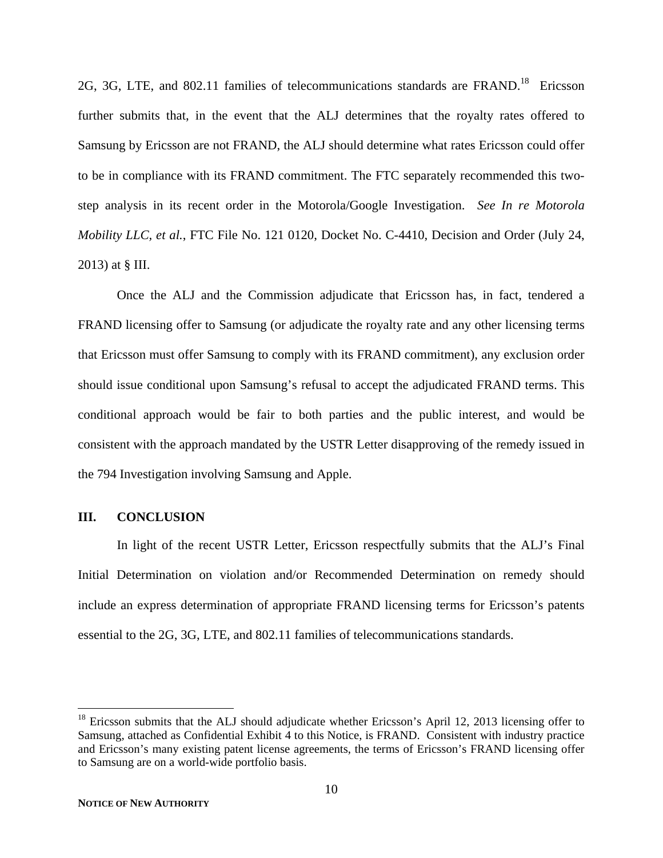2G, 3G, LTE, and 802.11 families of telecommunications standards are FRAND.<sup>18</sup> Ericsson further submits that, in the event that the ALJ determines that the royalty rates offered to Samsung by Ericsson are not FRAND, the ALJ should determine what rates Ericsson could offer to be in compliance with its FRAND commitment. The FTC separately recommended this twostep analysis in its recent order in the Motorola/Google Investigation. *See In re Motorola Mobility LLC, et al.*, FTC File No. 121 0120, Docket No. C-4410, Decision and Order (July 24, 2013) at § III.

Once the ALJ and the Commission adjudicate that Ericsson has, in fact, tendered a FRAND licensing offer to Samsung (or adjudicate the royalty rate and any other licensing terms that Ericsson must offer Samsung to comply with its FRAND commitment), any exclusion order should issue conditional upon Samsung's refusal to accept the adjudicated FRAND terms. This conditional approach would be fair to both parties and the public interest, and would be consistent with the approach mandated by the USTR Letter disapproving of the remedy issued in the 794 Investigation involving Samsung and Apple.

### **III. CONCLUSION**

In light of the recent USTR Letter, Ericsson respectfully submits that the ALJ's Final Initial Determination on violation and/or Recommended Determination on remedy should include an express determination of appropriate FRAND licensing terms for Ericsson's patents essential to the 2G, 3G, LTE, and 802.11 families of telecommunications standards.

1

<sup>&</sup>lt;sup>18</sup> Ericsson submits that the ALJ should adjudicate whether Ericsson's April 12, 2013 licensing offer to Samsung, attached as Confidential Exhibit 4 to this Notice, is FRAND. Consistent with industry practice and Ericsson's many existing patent license agreements, the terms of Ericsson's FRAND licensing offer to Samsung are on a world-wide portfolio basis.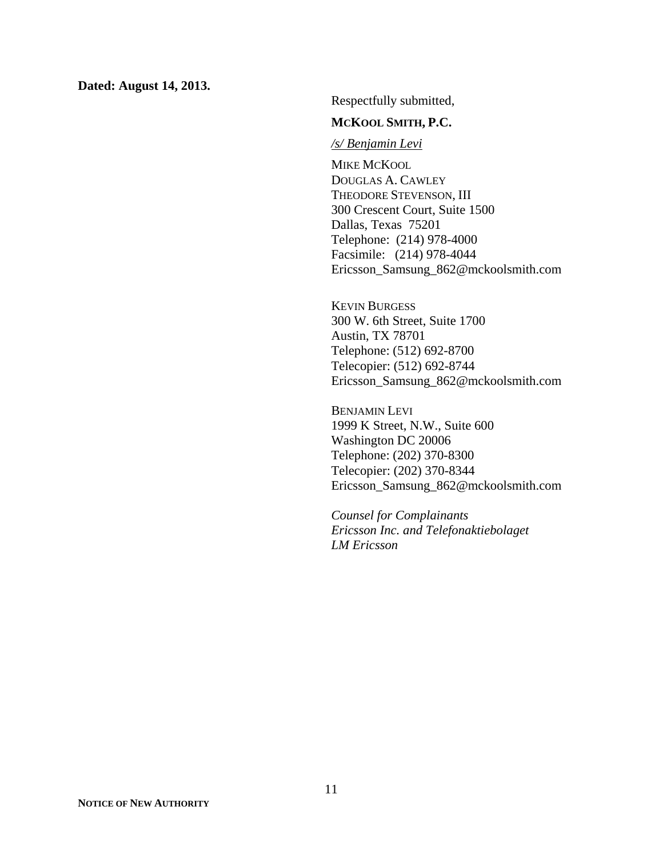**Dated: August 14, 2013.** 

Respectfully submitted,

### **MCKOOL SMITH, P.C.**

#### */s/ Benjamin Levi*

MIKE MCKOOL DOUGLAS A. CAWLEY THEODORE STEVENSON, III 300 Crescent Court, Suite 1500 Dallas, Texas 75201 Telephone: (214) 978-4000 Facsimile: (214) 978-4044 Ericsson\_Samsung\_862@mckoolsmith.com

KEVIN BURGESS 300 W. 6th Street, Suite 1700 Austin, TX 78701 Telephone: (512) 692-8700 Telecopier: (512) 692-8744 Ericsson\_Samsung\_862@mckoolsmith.com

BENJAMIN LEVI 1999 K Street, N.W., Suite 600 Washington DC 20006 Telephone: (202) 370-8300 Telecopier: (202) 370-8344 Ericsson\_Samsung\_862@mckoolsmith.com

*Counsel for Complainants Ericsson Inc. and Telefonaktiebolaget LM Ericsson*